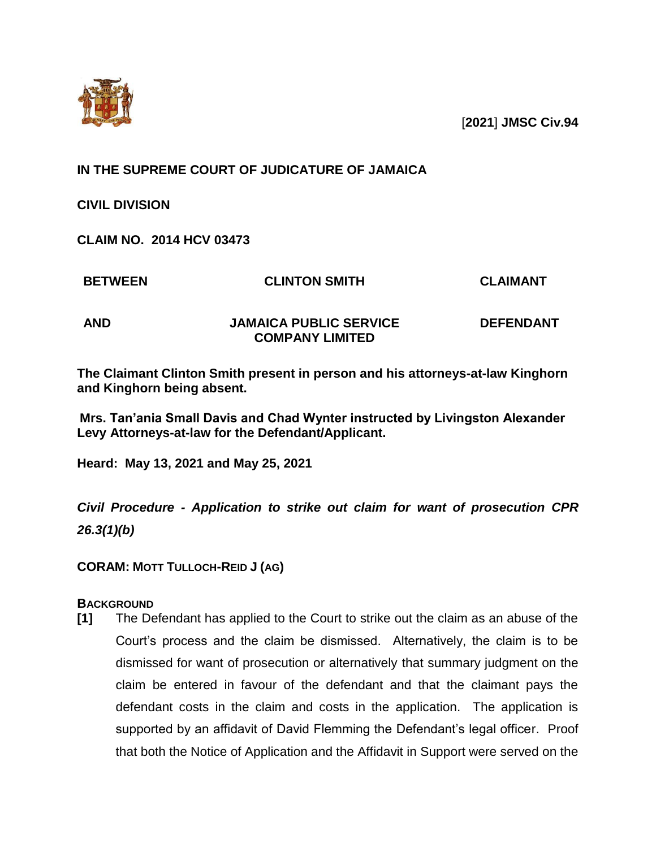

[**2021**] **JMSC Civ.94**

# **IN THE SUPREME COURT OF JUDICATURE OF JAMAICA**

**CIVIL DIVISION**

**CLAIM NO. 2014 HCV 03473**

**BETWEEN CLINTON SMITH CLAIMANT**

**AND JAMAICA PUBLIC SERVICE COMPANY LIMITED** 

**DEFENDANT**

**The Claimant Clinton Smith present in person and his attorneys-at-law Kinghorn and Kinghorn being absent.**

**Mrs. Tan'ania Small Davis and Chad Wynter instructed by Livingston Alexander Levy Attorneys-at-law for the Defendant/Applicant.**

**Heard: May 13, 2021 and May 25, 2021**

*Civil Procedure - Application to strike out claim for want of prosecution CPR 26.3(1)(b)*

**CORAM: MOTT TULLOCH-REID J (AG)**

# **BACKGROUND**

**[1]** The Defendant has applied to the Court to strike out the claim as an abuse of the Court's process and the claim be dismissed. Alternatively, the claim is to be dismissed for want of prosecution or alternatively that summary judgment on the claim be entered in favour of the defendant and that the claimant pays the defendant costs in the claim and costs in the application. The application is supported by an affidavit of David Flemming the Defendant's legal officer. Proof that both the Notice of Application and the Affidavit in Support were served on the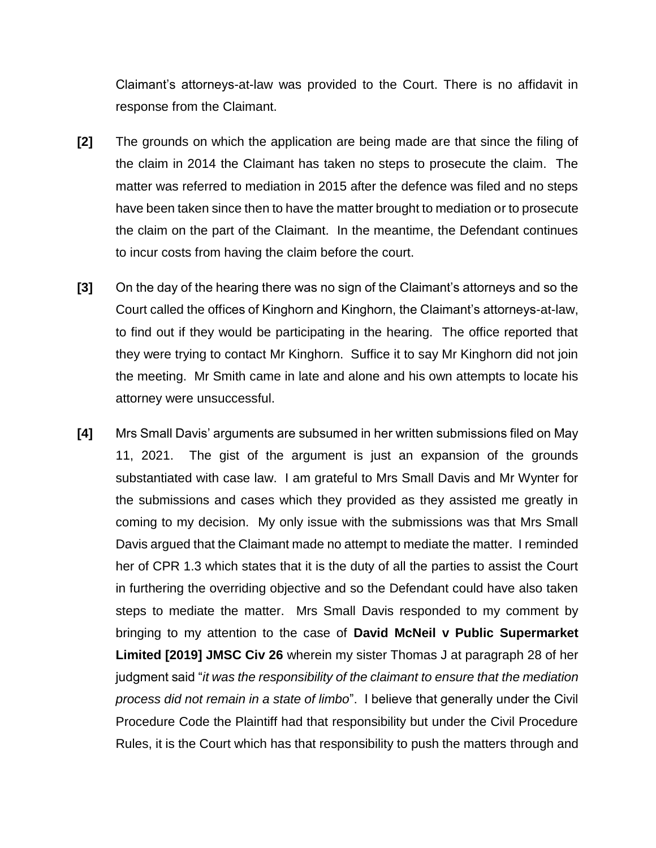Claimant's attorneys-at-law was provided to the Court. There is no affidavit in response from the Claimant.

- **[2]** The grounds on which the application are being made are that since the filing of the claim in 2014 the Claimant has taken no steps to prosecute the claim. The matter was referred to mediation in 2015 after the defence was filed and no steps have been taken since then to have the matter brought to mediation or to prosecute the claim on the part of the Claimant. In the meantime, the Defendant continues to incur costs from having the claim before the court.
- **[3]** On the day of the hearing there was no sign of the Claimant's attorneys and so the Court called the offices of Kinghorn and Kinghorn, the Claimant's attorneys-at-law, to find out if they would be participating in the hearing. The office reported that they were trying to contact Mr Kinghorn. Suffice it to say Mr Kinghorn did not join the meeting. Mr Smith came in late and alone and his own attempts to locate his attorney were unsuccessful.
- **[4]** Mrs Small Davis' arguments are subsumed in her written submissions filed on May 11, 2021. The gist of the argument is just an expansion of the grounds substantiated with case law. I am grateful to Mrs Small Davis and Mr Wynter for the submissions and cases which they provided as they assisted me greatly in coming to my decision. My only issue with the submissions was that Mrs Small Davis argued that the Claimant made no attempt to mediate the matter. I reminded her of CPR 1.3 which states that it is the duty of all the parties to assist the Court in furthering the overriding objective and so the Defendant could have also taken steps to mediate the matter. Mrs Small Davis responded to my comment by bringing to my attention to the case of **David McNeil v Public Supermarket Limited [2019] JMSC Civ 26** wherein my sister Thomas J at paragraph 28 of her judgment said "*it was the responsibility of the claimant to ensure that the mediation process did not remain in a state of limbo*". I believe that generally under the Civil Procedure Code the Plaintiff had that responsibility but under the Civil Procedure Rules, it is the Court which has that responsibility to push the matters through and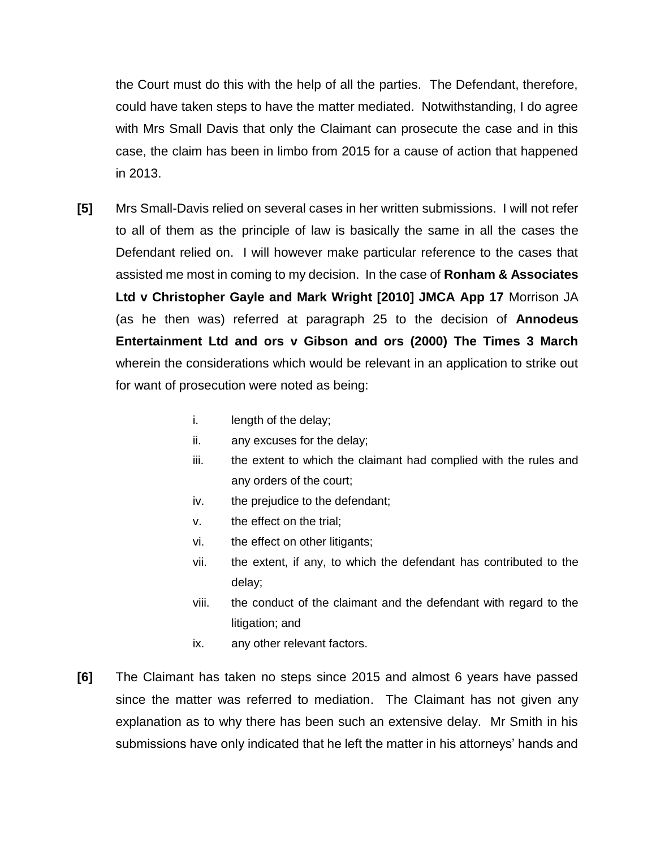the Court must do this with the help of all the parties. The Defendant, therefore, could have taken steps to have the matter mediated. Notwithstanding, I do agree with Mrs Small Davis that only the Claimant can prosecute the case and in this case, the claim has been in limbo from 2015 for a cause of action that happened in 2013.

- **[5]** Mrs Small-Davis relied on several cases in her written submissions. I will not refer to all of them as the principle of law is basically the same in all the cases the Defendant relied on. I will however make particular reference to the cases that assisted me most in coming to my decision. In the case of **Ronham & Associates Ltd v Christopher Gayle and Mark Wright [2010] JMCA App 17** Morrison JA (as he then was) referred at paragraph 25 to the decision of **Annodeus Entertainment Ltd and ors v Gibson and ors (2000) The Times 3 March** wherein the considerations which would be relevant in an application to strike out for want of prosecution were noted as being:
	- i. length of the delay;
	- ii. any excuses for the delay;
	- iii. the extent to which the claimant had complied with the rules and any orders of the court;
	- iv. the prejudice to the defendant;
	- v. the effect on the trial;
	- vi. the effect on other litigants;
	- vii. the extent, if any, to which the defendant has contributed to the delay;
	- viii. the conduct of the claimant and the defendant with regard to the litigation; and
	- ix. any other relevant factors.
- **[6]** The Claimant has taken no steps since 2015 and almost 6 years have passed since the matter was referred to mediation. The Claimant has not given any explanation as to why there has been such an extensive delay. Mr Smith in his submissions have only indicated that he left the matter in his attorneys' hands and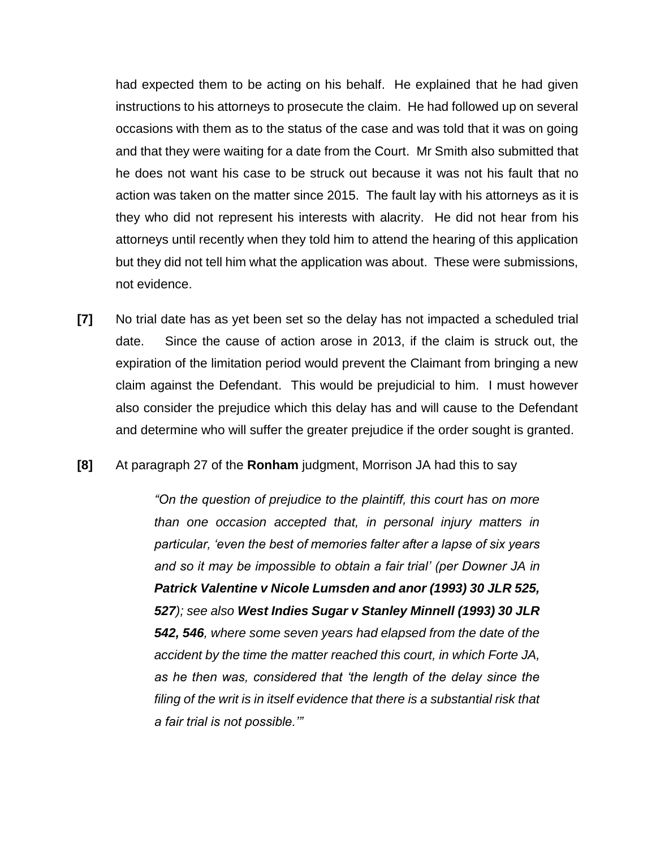had expected them to be acting on his behalf. He explained that he had given instructions to his attorneys to prosecute the claim. He had followed up on several occasions with them as to the status of the case and was told that it was on going and that they were waiting for a date from the Court. Mr Smith also submitted that he does not want his case to be struck out because it was not his fault that no action was taken on the matter since 2015. The fault lay with his attorneys as it is they who did not represent his interests with alacrity. He did not hear from his attorneys until recently when they told him to attend the hearing of this application but they did not tell him what the application was about. These were submissions, not evidence.

- **[7]** No trial date has as yet been set so the delay has not impacted a scheduled trial date. Since the cause of action arose in 2013, if the claim is struck out, the expiration of the limitation period would prevent the Claimant from bringing a new claim against the Defendant. This would be prejudicial to him. I must however also consider the prejudice which this delay has and will cause to the Defendant and determine who will suffer the greater prejudice if the order sought is granted.
- **[8]** At paragraph 27 of the **Ronham** judgment, Morrison JA had this to say

*"On the question of prejudice to the plaintiff, this court has on more than one occasion accepted that, in personal injury matters in particular, 'even the best of memories falter after a lapse of six years and so it may be impossible to obtain a fair trial' (per Downer JA in Patrick Valentine v Nicole Lumsden and anor (1993) 30 JLR 525, 527); see also West Indies Sugar v Stanley Minnell (1993) 30 JLR 542, 546, where some seven years had elapsed from the date of the accident by the time the matter reached this court, in which Forte JA, as he then was, considered that 'the length of the delay since the*  filing of the writ is in itself evidence that there is a substantial risk that *a fair trial is not possible.'"*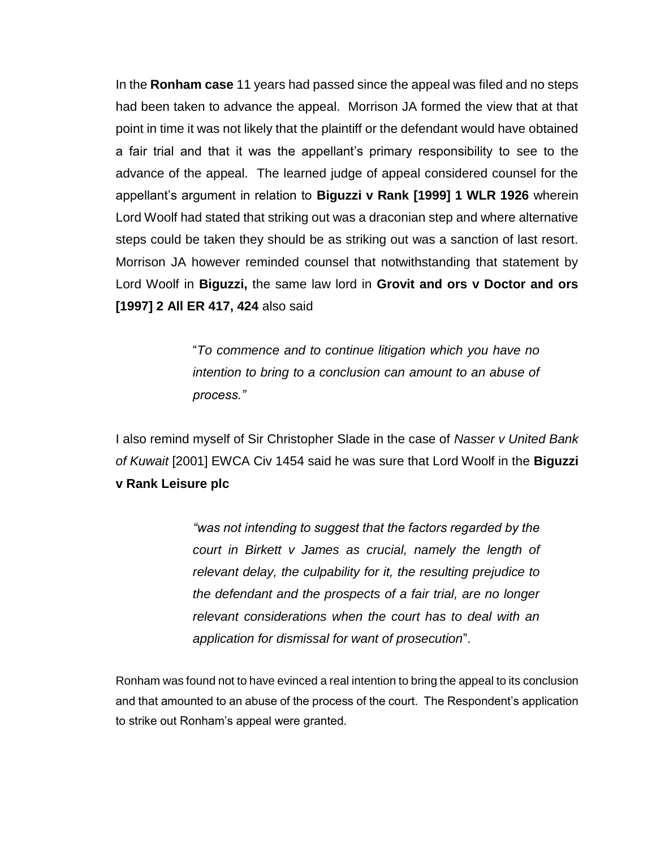In the **Ronham case** 11 years had passed since the appeal was filed and no steps had been taken to advance the appeal. Morrison JA formed the view that at that point in time it was not likely that the plaintiff or the defendant would have obtained a fair trial and that it was the appellant's primary responsibility to see to the advance of the appeal. The learned judge of appeal considered counsel for the appellant's argument in relation to **Biguzzi v Rank [1999] 1 WLR 1926** wherein Lord Woolf had stated that striking out was a draconian step and where alternative steps could be taken they should be as striking out was a sanction of last resort. Morrison JA however reminded counsel that notwithstanding that statement by Lord Woolf in **Biguzzi,** the same law lord in **Grovit and ors v Doctor and ors [1997] 2 All ER 417, 424** also said

> "*To commence and to continue litigation which you have no intention to bring to a conclusion can amount to an abuse of process."*

I also remind myself of Sir Christopher Slade in the case of *Nasser v United Bank of Kuwait* [2001] EWCA Civ 1454 said he was sure that Lord Woolf in the **Biguzzi v Rank Leisure plc** 

> *"was not intending to suggest that the factors regarded by the court in Birkett v James as crucial, namely the length of relevant delay, the culpability for it, the resulting prejudice to the defendant and the prospects of a fair trial, are no longer relevant considerations when the court has to deal with an application for dismissal for want of prosecution*".

Ronham was found not to have evinced a real intention to bring the appeal to its conclusion and that amounted to an abuse of the process of the court. The Respondent's application to strike out Ronham's appeal were granted.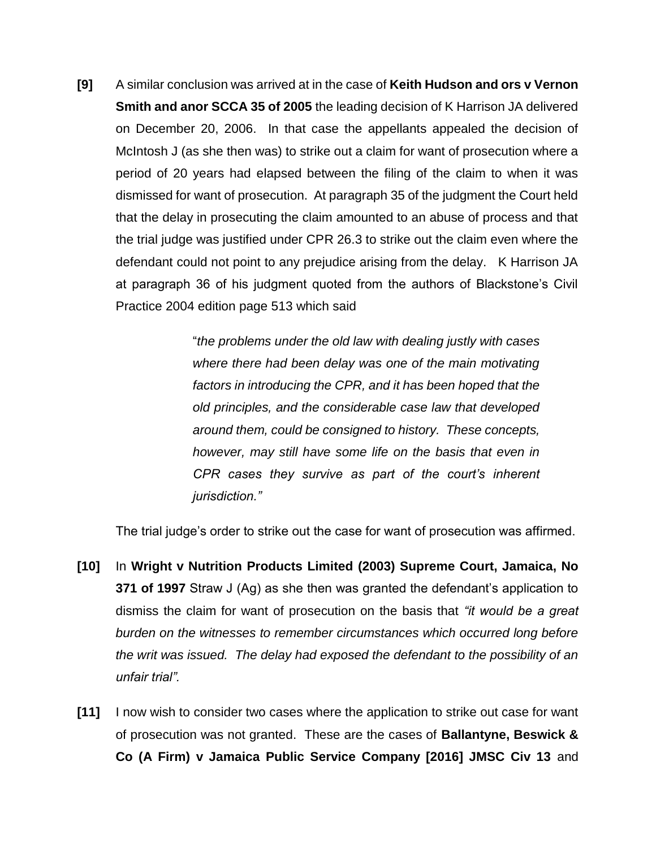**[9]** A similar conclusion was arrived at in the case of **Keith Hudson and ors v Vernon Smith and anor SCCA 35 of 2005** the leading decision of K Harrison JA delivered on December 20, 2006. In that case the appellants appealed the decision of McIntosh J (as she then was) to strike out a claim for want of prosecution where a period of 20 years had elapsed between the filing of the claim to when it was dismissed for want of prosecution. At paragraph 35 of the judgment the Court held that the delay in prosecuting the claim amounted to an abuse of process and that the trial judge was justified under CPR 26.3 to strike out the claim even where the defendant could not point to any prejudice arising from the delay. K Harrison JA at paragraph 36 of his judgment quoted from the authors of Blackstone's Civil Practice 2004 edition page 513 which said

> "*the problems under the old law with dealing justly with cases where there had been delay was one of the main motivating factors in introducing the CPR, and it has been hoped that the old principles, and the considerable case law that developed around them, could be consigned to history. These concepts, however, may still have some life on the basis that even in CPR cases they survive as part of the court's inherent jurisdiction."*

The trial judge's order to strike out the case for want of prosecution was affirmed.

- **[10]** In **Wright v Nutrition Products Limited (2003) Supreme Court, Jamaica, No 371 of 1997** Straw J (Ag) as she then was granted the defendant's application to dismiss the claim for want of prosecution on the basis that *"it would be a great burden on the witnesses to remember circumstances which occurred long before the writ was issued. The delay had exposed the defendant to the possibility of an unfair trial".*
- **[11]** I now wish to consider two cases where the application to strike out case for want of prosecution was not granted. These are the cases of **Ballantyne, Beswick & Co (A Firm) v Jamaica Public Service Company [2016] JMSC Civ 13** and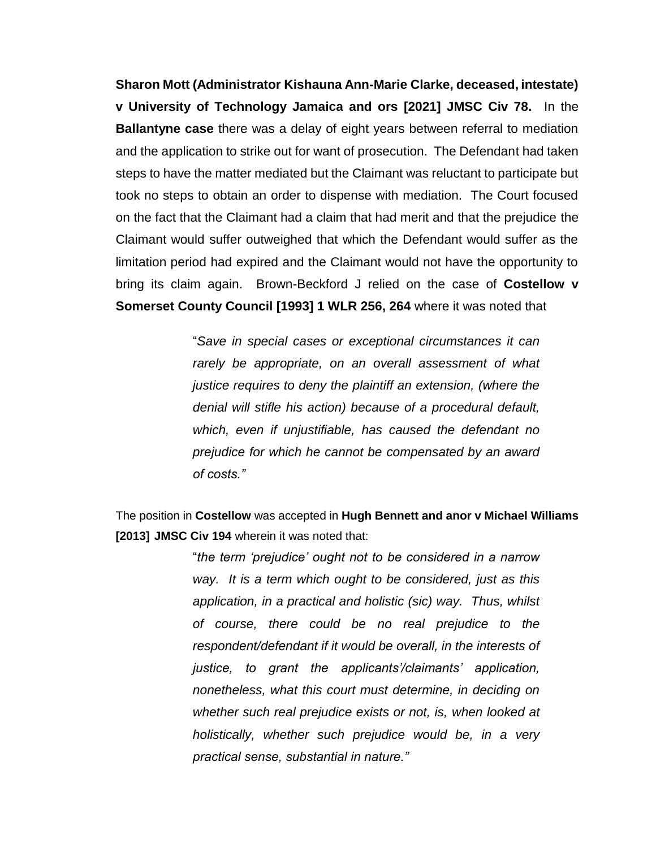**Sharon Mott (Administrator Kishauna Ann-Marie Clarke, deceased, intestate) v University of Technology Jamaica and ors [2021] JMSC Civ 78.** In the **Ballantyne case** there was a delay of eight years between referral to mediation and the application to strike out for want of prosecution. The Defendant had taken steps to have the matter mediated but the Claimant was reluctant to participate but took no steps to obtain an order to dispense with mediation. The Court focused on the fact that the Claimant had a claim that had merit and that the prejudice the Claimant would suffer outweighed that which the Defendant would suffer as the limitation period had expired and the Claimant would not have the opportunity to bring its claim again. Brown-Beckford J relied on the case of **Costellow v Somerset County Council [1993] 1 WLR 256, 264** where it was noted that

> "*Save in special cases or exceptional circumstances it can rarely be appropriate, on an overall assessment of what justice requires to deny the plaintiff an extension, (where the denial will stifle his action) because of a procedural default, which, even if unjustifiable, has caused the defendant no prejudice for which he cannot be compensated by an award of costs."*

The position in **Costellow** was accepted in **Hugh Bennett and anor v Michael Williams [2013] JMSC Civ 194** wherein it was noted that:

> "*the term 'prejudice' ought not to be considered in a narrow way. It is a term which ought to be considered, just as this application, in a practical and holistic (sic) way. Thus, whilst of course, there could be no real prejudice to the respondent/defendant if it would be overall, in the interests of justice, to grant the applicants'/claimants' application, nonetheless, what this court must determine, in deciding on whether such real prejudice exists or not, is, when looked at holistically, whether such prejudice would be, in a very practical sense, substantial in nature."*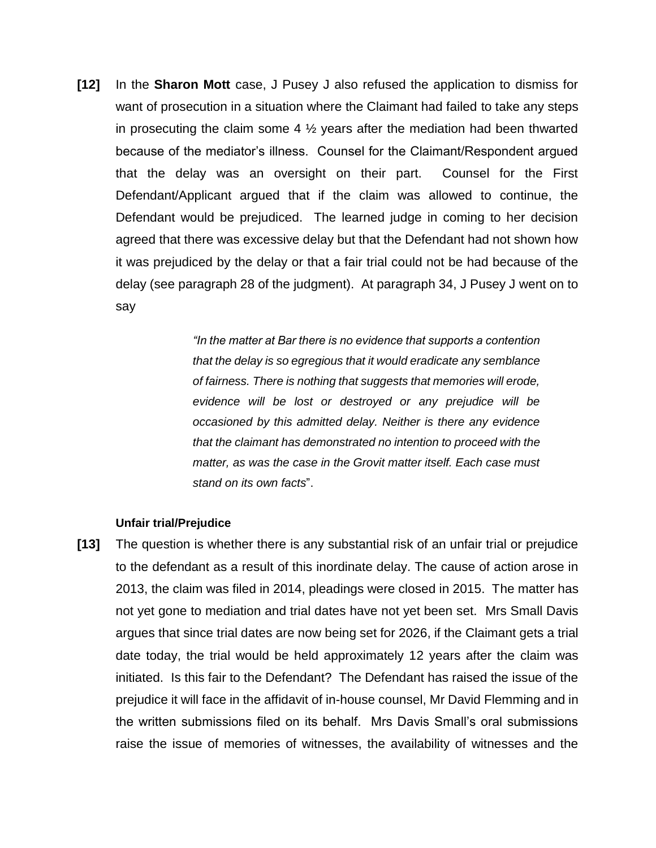**[12]** In the **Sharon Mott** case, J Pusey J also refused the application to dismiss for want of prosecution in a situation where the Claimant had failed to take any steps in prosecuting the claim some 4  $\frac{1}{2}$  years after the mediation had been thwarted because of the mediator's illness. Counsel for the Claimant/Respondent argued that the delay was an oversight on their part. Counsel for the First Defendant/Applicant argued that if the claim was allowed to continue, the Defendant would be prejudiced. The learned judge in coming to her decision agreed that there was excessive delay but that the Defendant had not shown how it was prejudiced by the delay or that a fair trial could not be had because of the delay (see paragraph 28 of the judgment). At paragraph 34, J Pusey J went on to say

> *"In the matter at Bar there is no evidence that supports a contention that the delay is so egregious that it would eradicate any semblance of fairness. There is nothing that suggests that memories will erode, evidence will be lost or destroyed or any prejudice will be occasioned by this admitted delay. Neither is there any evidence that the claimant has demonstrated no intention to proceed with the matter, as was the case in the Grovit matter itself. Each case must stand on its own facts*".

## **Unfair trial/Prejudice**

**[13]** The question is whether there is any substantial risk of an unfair trial or prejudice to the defendant as a result of this inordinate delay. The cause of action arose in 2013, the claim was filed in 2014, pleadings were closed in 2015. The matter has not yet gone to mediation and trial dates have not yet been set. Mrs Small Davis argues that since trial dates are now being set for 2026, if the Claimant gets a trial date today, the trial would be held approximately 12 years after the claim was initiated. Is this fair to the Defendant? The Defendant has raised the issue of the prejudice it will face in the affidavit of in-house counsel, Mr David Flemming and in the written submissions filed on its behalf. Mrs Davis Small's oral submissions raise the issue of memories of witnesses, the availability of witnesses and the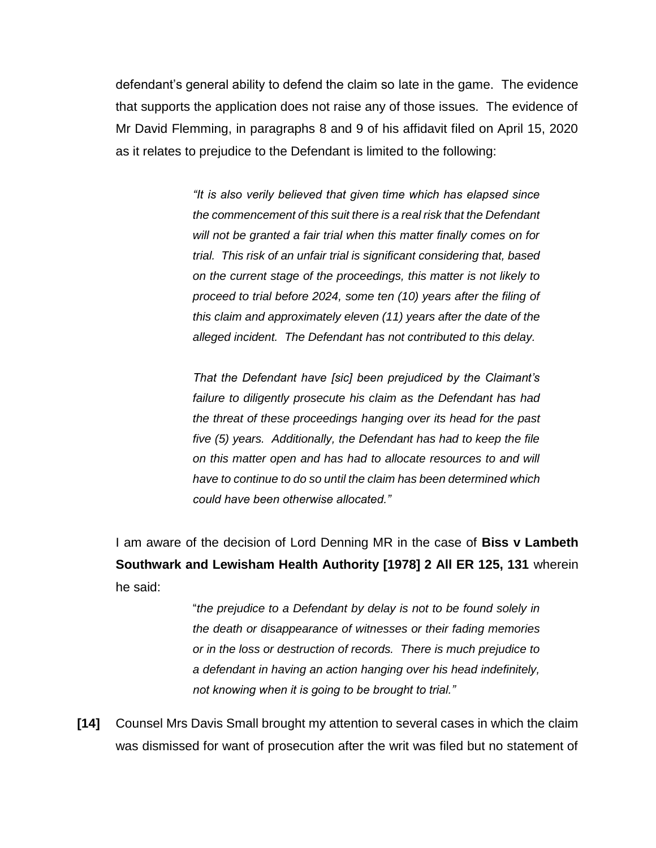defendant's general ability to defend the claim so late in the game. The evidence that supports the application does not raise any of those issues. The evidence of Mr David Flemming, in paragraphs 8 and 9 of his affidavit filed on April 15, 2020 as it relates to prejudice to the Defendant is limited to the following:

> *"It is also verily believed that given time which has elapsed since the commencement of this suit there is a real risk that the Defendant will not be granted a fair trial when this matter finally comes on for trial. This risk of an unfair trial is significant considering that, based on the current stage of the proceedings, this matter is not likely to proceed to trial before 2024, some ten (10) years after the filing of this claim and approximately eleven (11) years after the date of the alleged incident. The Defendant has not contributed to this delay.*

> *That the Defendant have [sic] been prejudiced by the Claimant's failure to diligently prosecute his claim as the Defendant has had the threat of these proceedings hanging over its head for the past five (5) years. Additionally, the Defendant has had to keep the file on this matter open and has had to allocate resources to and will have to continue to do so until the claim has been determined which could have been otherwise allocated."*

I am aware of the decision of Lord Denning MR in the case of **Biss v Lambeth Southwark and Lewisham Health Authority [1978] 2 All ER 125, 131** wherein he said:

> "*the prejudice to a Defendant by delay is not to be found solely in the death or disappearance of witnesses or their fading memories or in the loss or destruction of records. There is much prejudice to a defendant in having an action hanging over his head indefinitely, not knowing when it is going to be brought to trial."*

**[14]** Counsel Mrs Davis Small brought my attention to several cases in which the claim was dismissed for want of prosecution after the writ was filed but no statement of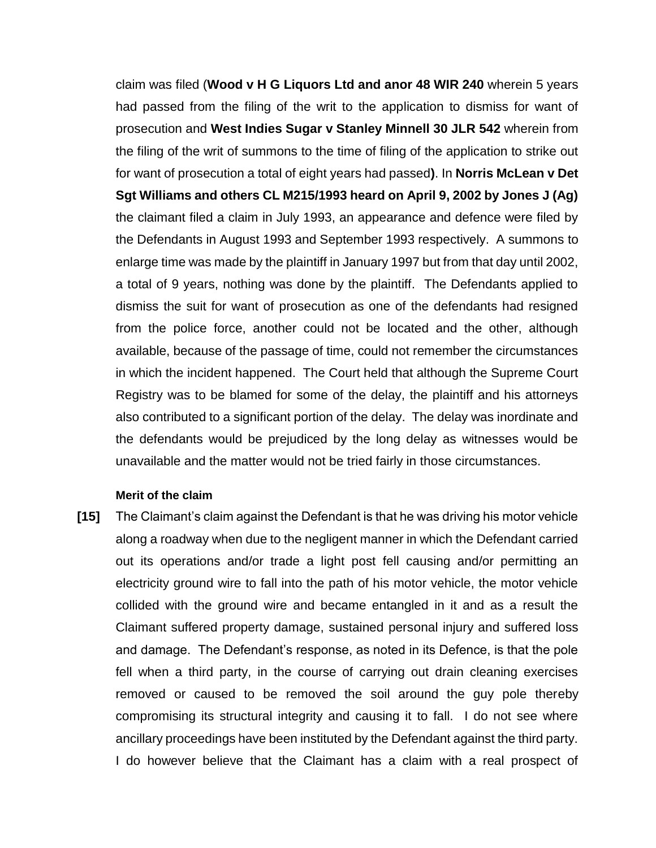claim was filed (**Wood v H G Liquors Ltd and anor 48 WIR 240** wherein 5 years had passed from the filing of the writ to the application to dismiss for want of prosecution and **West Indies Sugar v Stanley Minnell 30 JLR 542** wherein from the filing of the writ of summons to the time of filing of the application to strike out for want of prosecution a total of eight years had passed**)**. In **Norris McLean v Det Sgt Williams and others CL M215/1993 heard on April 9, 2002 by Jones J (Ag)**  the claimant filed a claim in July 1993, an appearance and defence were filed by the Defendants in August 1993 and September 1993 respectively. A summons to enlarge time was made by the plaintiff in January 1997 but from that day until 2002, a total of 9 years, nothing was done by the plaintiff. The Defendants applied to dismiss the suit for want of prosecution as one of the defendants had resigned from the police force, another could not be located and the other, although available, because of the passage of time, could not remember the circumstances in which the incident happened. The Court held that although the Supreme Court Registry was to be blamed for some of the delay, the plaintiff and his attorneys also contributed to a significant portion of the delay. The delay was inordinate and the defendants would be prejudiced by the long delay as witnesses would be unavailable and the matter would not be tried fairly in those circumstances.

## **Merit of the claim**

**[15]** The Claimant's claim against the Defendant is that he was driving his motor vehicle along a roadway when due to the negligent manner in which the Defendant carried out its operations and/or trade a light post fell causing and/or permitting an electricity ground wire to fall into the path of his motor vehicle, the motor vehicle collided with the ground wire and became entangled in it and as a result the Claimant suffered property damage, sustained personal injury and suffered loss and damage. The Defendant's response, as noted in its Defence, is that the pole fell when a third party, in the course of carrying out drain cleaning exercises removed or caused to be removed the soil around the guy pole thereby compromising its structural integrity and causing it to fall. I do not see where ancillary proceedings have been instituted by the Defendant against the third party. I do however believe that the Claimant has a claim with a real prospect of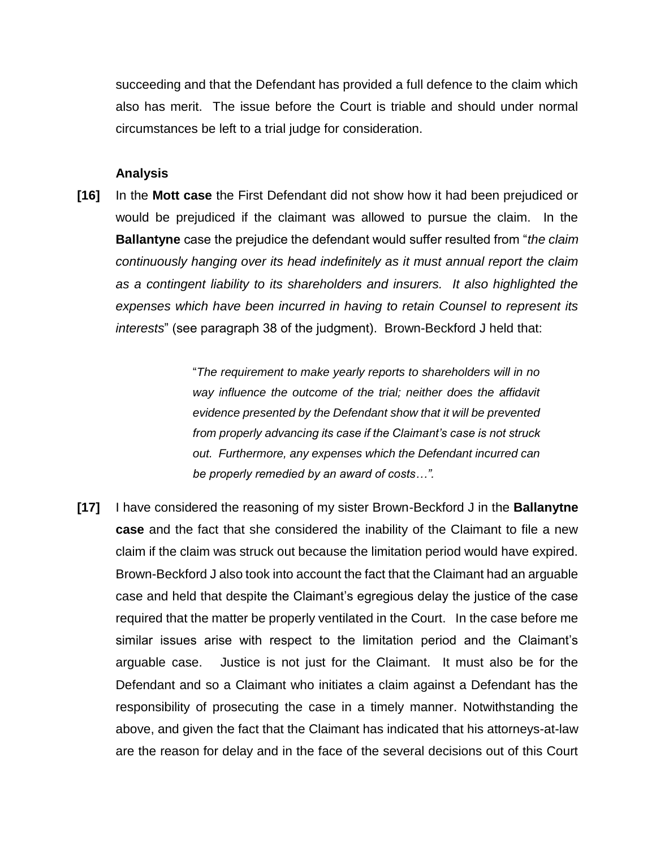succeeding and that the Defendant has provided a full defence to the claim which also has merit. The issue before the Court is triable and should under normal circumstances be left to a trial judge for consideration.

## **Analysis**

**[16]** In the **Mott case** the First Defendant did not show how it had been prejudiced or would be prejudiced if the claimant was allowed to pursue the claim. In the **Ballantyne** case the prejudice the defendant would suffer resulted from "*the claim continuously hanging over its head indefinitely as it must annual report the claim as a contingent liability to its shareholders and insurers. It also highlighted the expenses which have been incurred in having to retain Counsel to represent its interests*" (see paragraph 38 of the judgment). Brown-Beckford J held that:

> "*The requirement to make yearly reports to shareholders will in no way influence the outcome of the trial; neither does the affidavit evidence presented by the Defendant show that it will be prevented from properly advancing its case if the Claimant's case is not struck out. Furthermore, any expenses which the Defendant incurred can be properly remedied by an award of costs…".*

**[17]** I have considered the reasoning of my sister Brown-Beckford J in the **Ballanytne case** and the fact that she considered the inability of the Claimant to file a new claim if the claim was struck out because the limitation period would have expired. Brown-Beckford J also took into account the fact that the Claimant had an arguable case and held that despite the Claimant's egregious delay the justice of the case required that the matter be properly ventilated in the Court. In the case before me similar issues arise with respect to the limitation period and the Claimant's arguable case. Justice is not just for the Claimant. It must also be for the Defendant and so a Claimant who initiates a claim against a Defendant has the responsibility of prosecuting the case in a timely manner. Notwithstanding the above, and given the fact that the Claimant has indicated that his attorneys-at-law are the reason for delay and in the face of the several decisions out of this Court